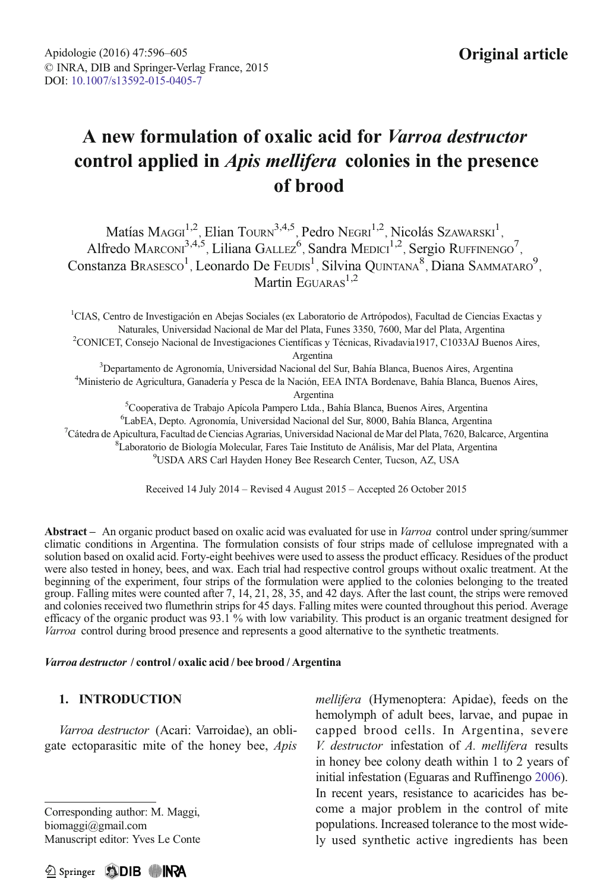# A new formulation of oxalic acid for Varroa destructor control applied in Apis mellifera colonies in the presence of brood

Matías Maggi<sup>1,2</sup>, Elian Tourn<sup>3,4,5</sup>, Pedro Negri<sup>1,2</sup>, Nicolás Szawarski<sup>1</sup>, Alfredo MARCONI<sup>3,4,5</sup>, Liliana GALLEZ<sup>6</sup>, Sandra MEDICI<sup>1,2</sup>, Sergio RUFFINENGO<sup>7</sup>, Constanza Brasesco<sup>1</sup>, Leonardo De Feudis<sup>1</sup>, Silvina Quintana<sup>8</sup>, Diana Sammataro<sup>9</sup>,<br>Martin Eguaras<sup>1,2</sup>

<sup>1</sup>CIAS, Centro de Investigación en Abejas Sociales (ex Laboratorio de Artrópodos), Facultad de Ciencias Exactas y Naturales, Universidad Nacional de Mar del Plata, Funes 3350, 7600, Mar del Plata, Argentina <sup>2</sup> CONICET, Consejo Nacional de Investigaciones Científicas y Técnicas, Rivadavia1917, C1033AJ Buenos Aires, Argentina<br><sup>3</sup>Departamento de Agronomía Hniversidad Nacional del Departamento de Agronomía, Universidad Nacional del Sur, Bahía Blanca, Buenos Aires, Argentina <sup>4</sup> Ministerio de Agricultura, Ganadería y Pesca de la Nación, EEA INTA Bordenave, Bahía Blanca, Buenos Aires, Argentina<br><sup>5</sup>Cooperativa de Trabajo Apícola Pampero Ltda., Bahía Blanca, Buenos Aires, Argentina <sup>6</sup> LabEA, Depto. Agronomía, Universidad Nacional del Sur, 8000, Bahía Blanca, Argentina<br><sup>7</sup> Cátedra de Anjoultura, Facultad de Ciencias Agrarias, Universidad Nacional de Mar del Plata, 7620, Balca  $^7$ Cátedra de Apicultura, Facultad de Ciencias Agrarias, Universidad Nacional de Mar del Plata, 7620, Balcarce, Argentina Laboratorio de Biología Molecular, Fares Taie Instituto de Análisis, Mar del Plata, Argentina <sup>9</sup>

USDA ARS Carl Hayden Honey Bee Research Center, Tucson, AZ, USA

Received 14 July 2014 – Revised 4 August 2015 – Accepted 26 October 2015

Abstract – An organic product based on oxalic acid was evaluated for use in Varroa control under spring/summer climatic conditions in Argentina. The formulation consists of four strips made of cellulose impregnated with a solution based on oxalid acid. Forty-eight beehives were used to assess the product efficacy. Residues of the product were also tested in honey, bees, and wax. Each trial had respective control groups without oxalic treatment. At the beginning of the experiment, four strips of the formulation were applied to the colonies belonging to the treated group. Falling mites were counted after 7, 14, 21, 28, 35, and 42 days. After the last count, the strips were removed and colonies received two flumethrin strips for 45 days. Falling mites were counted throughout this period. Average efficacy of the organic product was 93.1 % with low variability. This product is an organic treatment designed for Varroa control during brood presence and represents a good alternative to the synthetic treatments.

#### Varroa destructor / control / oxalic acid / bee brood / Argentina

# 1. INTRODUCTION

Varroa destructor (Acari: Varroidae), an obligate ectoparasitic mite of the honey bee, Apis

Corresponding author: M. Maggi, biomaggi@gmail.com Manuscript editor: Yves Le Conte mellifera (Hymenoptera: Apidae), feeds on the hemolymph of adult bees, larvae, and pupae in capped brood cells. In Argentina, severe V. destructor infestation of A. mellifera results in honey bee colony death within 1 to 2 years of initial infestation (Eguaras and Ruffinengo [2006](#page-8-0)). In recent years, resistance to acaricides has become a major problem in the control of mite populations. Increased tolerance to the most widely used synthetic active ingredients has been

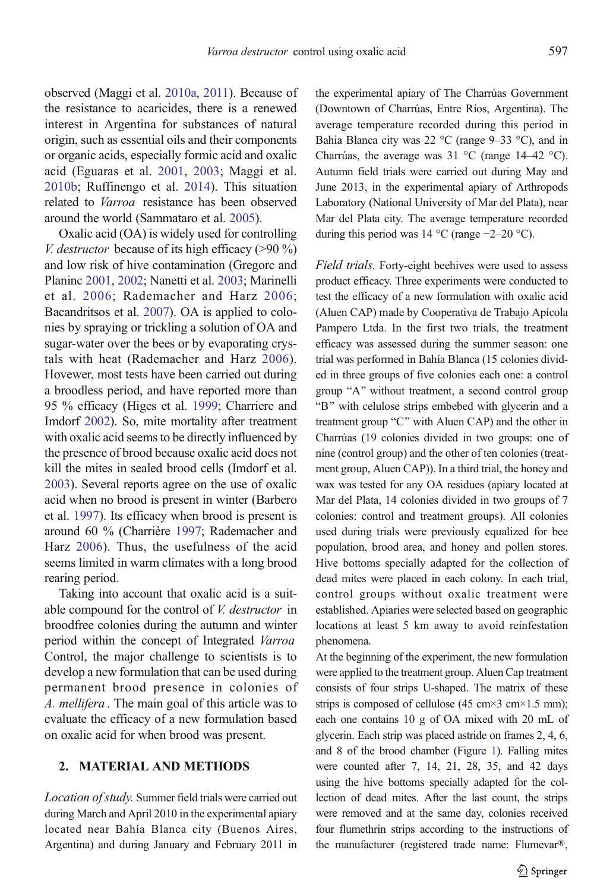observed (Maggi et al. [2010a,](#page-8-0) [2011\)](#page-8-0). Because of the resistance to acaricides, there is a renewed interest in Argentina for substances of natural origin, such as essential oils and their components or organic acids, especially formic acid and oxalic acid (Eguaras et al. [2001,](#page-8-0) [2003;](#page-8-0) Maggi et al. [2010b](#page-8-0); Ruffinengo et al. [2014\)](#page-8-0). This situation related to Varroa resistance has been observed around the world (Sammataro et al. [2005\)](#page-9-0).

Oxalic acid (OA) is widely used for controlling *V. destructor* because of its high efficacy ( $>90\%$ ) and low risk of hive contamination (Gregorc and Planinc [2001](#page-8-0), [2002](#page-8-0); Nanetti et al. [2003;](#page-8-0) Marinelli et al. [2006;](#page-8-0) Rademacher and Harz [2006](#page-8-0); Bacandritsos et al. [2007](#page-7-0)). OA is applied to colonies by spraying or trickling a solution of OA and sugar-water over the bees or by evaporating crystals with heat (Rademacher and Harz [2006\)](#page-8-0). Hovewer, most tests have been carried out during a broodless period, and have reported more than 95 % efficacy (Higes et al. [1999](#page-8-0); Charriere and Imdorf [2002](#page-8-0)). So, mite mortality after treatment with oxalic acid seems to be directly influenced by the presence of brood because oxalic acid does not kill the mites in sealed brood cells (Imdorf et al. [2003\)](#page-8-0). Several reports agree on the use of oxalic acid when no brood is present in winter (Barbero et al. [1997\)](#page-8-0). Its efficacy when brood is present is around 60 % (Charrière [1997;](#page-8-0) Rademacher and Harz [2006\)](#page-8-0). Thus, the usefulness of the acid seems limited in warm climates with a long brood rearing period.

Taking into account that oxalic acid is a suitable compound for the control of *V. destructor* in broodfree colonies during the autumn and winter period within the concept of Integrated Varroa Control, the major challenge to scientists is to develop a new formulation that can be used during permanent brood presence in colonies of A. mellifera . The main goal of this article was to evaluate the efficacy of a new formulation based on oxalic acid for when brood was present.

## 2. MATERIAL AND METHODS

Location of study. Summer field trials were carried out during March and April 2010 in the experimental apiary located near Bahía Blanca city (Buenos Aires, Argentina) and during January and February 2011 in the experimental apiary of The Charrúas Government (Downtown of Charrúas, Entre Ríos, Argentina). The average temperature recorded during this period in Bahia Blanca city was 22 °C (range 9–33 °C), and in Charrúas, the average was 31 °C (range 14–42 °C). Autumn field trials were carried out during May and June 2013, in the experimental apiary of Arthropods Laboratory (National University of Mar del Plata), near Mar del Plata city. The average temperature recorded during this period was 14 °C (range −2–20 °C).

Field trials. Forty-eight beehives were used to assess product efficacy. Three experiments were conducted to test the efficacy of a new formulation with oxalic acid (Aluen CAP) made by Cooperativa de Trabajo Apícola Pampero Ltda. In the first two trials, the treatment efficacy was assessed during the summer season: one trial was performed in Bahía Blanca (15 colonies divided in three groups of five colonies each one: a control group "A" without treatment, a second control group "B" with celulose strips embebed with glycerin and a treatment group "C" with Aluen CAP) and the other in Charrúas (19 colonies divided in two groups: one of nine (control group) and the other of ten colonies (treatment group, Aluen CAP)). In a third trial, the honey and wax was tested for any OA residues (apiary located at Mar del Plata, 14 colonies divided in two groups of 7 colonies: control and treatment groups). All colonies used during trials were previously equalized for bee population, brood area, and honey and pollen stores. Hive bottoms specially adapted for the collection of dead mites were placed in each colony. In each trial, control groups without oxalic treatment were established. Apiaries were selected based on geographic locations at least 5 km away to avoid reinfestation phenomena.

At the beginning of the experiment, the new formulation were applied to the treatment group. Aluen Cap treatment consists of four strips U-shaped. The matrix of these strips is composed of cellulose (45 cm $\times$ 3 cm $\times$ 1.5 mm); each one contains 10 g of OA mixed with 20 mL of glycerin. Each strip was placed astride on frames 2, 4, 6, and 8 of the brood chamber (Figure [1](#page-2-0)). Falling mites were counted after 7, 14, 21, 28, 35, and 42 days using the hive bottoms specially adapted for the collection of dead mites. After the last count, the strips were removed and at the same day, colonies received four flumethrin strips according to the instructions of the manufacturer (registered trade name: Flumevar®,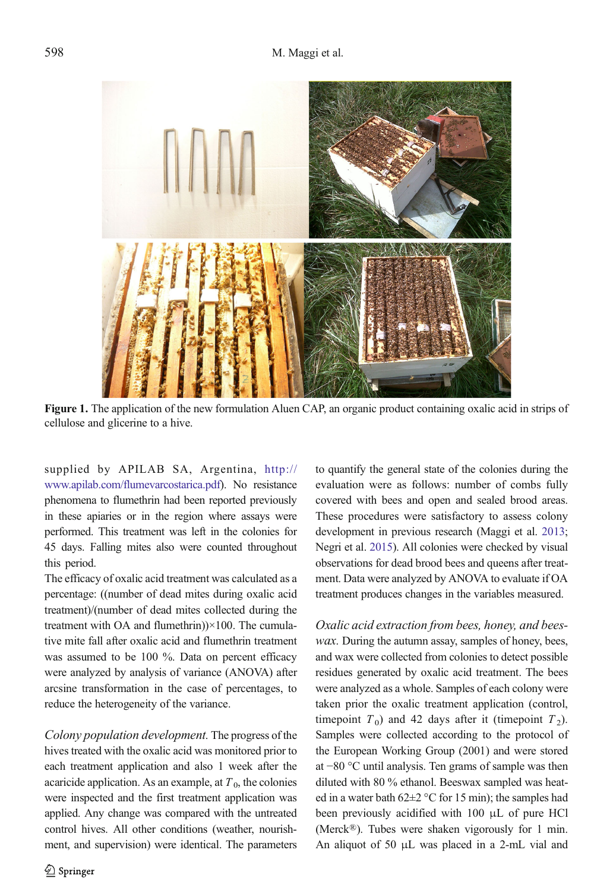<span id="page-2-0"></span>

Figure 1. The application of the new formulation Aluen CAP, an organic product containing oxalic acid in strips of cellulose and glicerine to a hive.

supplied by APILAB SA, Argentina, [http://](http://www.apilab.com/flumevarcostarica.pdf) [www.apilab.com/flumevarcostarica.pdf](http://www.apilab.com/flumevarcostarica.pdf)). No resistance phenomena to flumethrin had been reported previously in these apiaries or in the region where assays were performed. This treatment was left in the colonies for 45 days. Falling mites also were counted throughout this period.

The efficacy of oxalic acid treatment was calculated as a percentage: ((number of dead mites during oxalic acid treatment)/(number of dead mites collected during the treatment with OA and flumethrin))×100. The cumulative mite fall after oxalic acid and flumethrin treatment was assumed to be 100 %. Data on percent efficacy were analyzed by analysis of variance (ANOVA) after arcsine transformation in the case of percentages, to reduce the heterogeneity of the variance.

Colony population development. The progress of the hives treated with the oxalic acid was monitored prior to each treatment application and also 1 week after the acaricide application. As an example, at  $T<sub>0</sub>$ , the colonies were inspected and the first treatment application was applied. Any change was compared with the untreated control hives. All other conditions (weather, nourishment, and supervision) were identical. The parameters to quantify the general state of the colonies during the evaluation were as follows: number of combs fully covered with bees and open and sealed brood areas. These procedures were satisfactory to assess colony development in previous research (Maggi et al. [2013](#page-8-0); Negri et al. [2015\)](#page-8-0). All colonies were checked by visual observations for dead brood bees and queens after treatment. Data were analyzed by ANOVA to evaluate if OA treatment produces changes in the variables measured.

Oxalic acid extraction from bees, honey, and beeswax. During the autumn assay, samples of honey, bees, and wax were collected from colonies to detect possible residues generated by oxalic acid treatment. The bees were analyzed as a whole. Samples of each colony were taken prior the oxalic treatment application (control, timepoint  $T_0$ ) and 42 days after it (timepoint  $T_2$ ). Samples were collected according to the protocol of the European Working Group (2001) and were stored at −80 °C until analysis. Ten grams of sample was then diluted with 80 % ethanol. Beeswax sampled was heated in a water bath  $62\pm2$  °C for 15 min); the samples had been previously acidified with 100 μL of pure HCl (Merck®). Tubes were shaken vigorously for 1 min. An aliquot of 50 μL was placed in a 2-mL vial and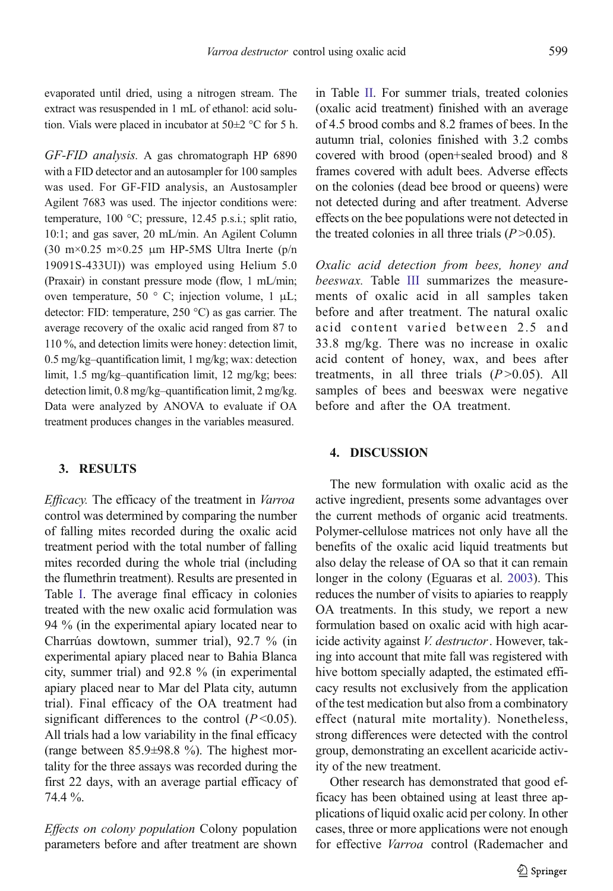evaporated until dried, using a nitrogen stream. The extract was resuspended in 1 mL of ethanol: acid solution. Vials were placed in incubator at  $50\pm2$  °C for 5 h.

GF-FID analysis. A gas chromatograph HP 6890 with a FID detector and an autosampler for 100 samples was used. For GF-FID analysis, an Austosampler Agilent 7683 was used. The injector conditions were: temperature, 100 °C; pressure, 12.45 p.s.i.; split ratio, 10:1; and gas saver, 20 mL/min. An Agilent Column (30 m $\times$ 0.25 m $\times$ 0.25 µm HP-5MS Ultra Inerte (p/n 19091S-433UI)) was employed using Helium 5.0 (Praxair) in constant pressure mode (flow, 1 mL/min; oven temperature, 50 ° C; injection volume, 1  $\mu$ L; detector: FID: temperature, 250 °C) as gas carrier. The average recovery of the oxalic acid ranged from 87 to 110 %, and detection limits were honey: detection limit, 0.5 mg/kg–quantification limit, 1 mg/kg; wax: detection limit, 1.5 mg/kg–quantification limit, 12 mg/kg; bees: detection limit, 0.8 mg/kg–quantification limit, 2 mg/kg. Data were analyzed by ANOVA to evaluate if OA treatment produces changes in the variables measured.

# 3. RESULTS

Efficacy. The efficacy of the treatment in Varroa control was determined by comparing the number of falling mites recorded during the oxalic acid treatment period with the total number of falling mites recorded during the whole trial (including the flumethrin treatment). Results are presented in Table [I](#page-4-0). The average final efficacy in colonies treated with the new oxalic acid formulation was 94 % (in the experimental apiary located near to Charrúas dowtown, summer trial), 92.7 % (in experimental apiary placed near to Bahia Blanca city, summer trial) and 92.8 % (in experimental apiary placed near to Mar del Plata city, autumn trial). Final efficacy of the OA treatment had significant differences to the control  $(P<0.05)$ . All trials had a low variability in the final efficacy (range between 85.9±98.8 %). The highest mortality for the three assays was recorded during the first 22 days, with an average partial efficacy of 74.4 %.

Effects on colony population Colony population parameters before and after treatment are shown

in Table [II.](#page-6-0) For summer trials, treated colonies (oxalic acid treatment) finished with an average of 4.5 brood combs and 8.2 frames of bees. In the autumn trial, colonies finished with 3.2 combs covered with brood (open+sealed brood) and 8 frames covered with adult bees. Adverse effects on the colonies (dead bee brood or queens) were not detected during and after treatment. Adverse effects on the bee populations were not detected in the treated colonies in all three trials  $(P>0.05)$ .

Oxalic acid detection from bees, honey and beeswax. Table [III](#page-7-0) summarizes the measurements of oxalic acid in all samples taken before and after treatment. The natural oxalic acid content varied between 2.5 and 33.8 mg/kg. There was no increase in oxalic acid content of honey, wax, and bees after treatments, in all three trials  $(P>0.05)$ . All samples of bees and beeswax were negative before and after the OA treatment.

## 4. DISCUSSION

The new formulation with oxalic acid as the active ingredient, presents some advantages over the current methods of organic acid treatments. Polymer-cellulose matrices not only have all the benefits of the oxalic acid liquid treatments but also delay the release of OA so that it can remain longer in the colony (Eguaras et al. [2003](#page-8-0)). This reduces the number of visits to apiaries to reapply OA treatments. In this study, we report a new formulation based on oxalic acid with high acaricide activity against V. destructor. However, taking into account that mite fall was registered with hive bottom specially adapted, the estimated efficacy results not exclusively from the application of the test medication but also from a combinatory effect (natural mite mortality). Nonetheless, strong differences were detected with the control group, demonstrating an excellent acaricide activity of the new treatment.

Other research has demonstrated that good efficacy has been obtained using at least three applications of liquid oxalic acid per colony. In other cases, three or more applications were not enough for effective Varroa control (Rademacher and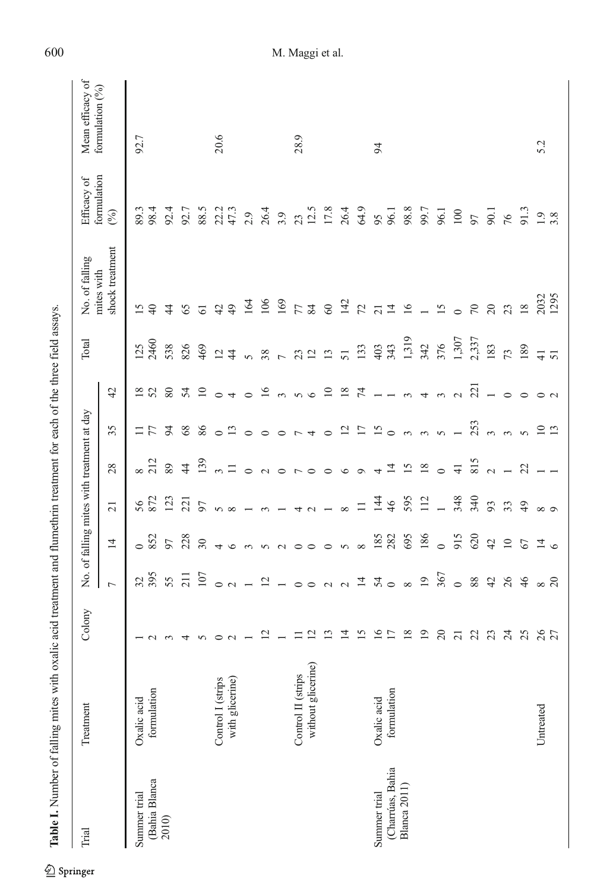<span id="page-4-0"></span>

| Trial                | Treatment          | Colony          |                                                                                    |                 |                 | No. of falling mites with treatment at day |                               |                          | Total                | No. of falling                | Efficacy of        | Mean efficacy of |
|----------------------|--------------------|-----------------|------------------------------------------------------------------------------------|-----------------|-----------------|--------------------------------------------|-------------------------------|--------------------------|----------------------|-------------------------------|--------------------|------------------|
|                      |                    |                 | $\overline{C}$                                                                     | $\overline{1}$  | $\overline{21}$ | 28                                         | 35                            | 42                       |                      | shock treatment<br>mites with | formulation<br>(%) | formulation (%)  |
| Summer trial         | Oxalic acid        |                 |                                                                                    | $\circ$         |                 |                                            |                               |                          | 125                  |                               | 89.3               | 92.7             |
| (Bahia Blanca        | formulation        | $\sim$          | 395                                                                                | 852             | 56<br>872       | $\frac{8}{212}$                            | 777                           | 18 <sub>52</sub>         | 2460                 | 15                            | 98.4               |                  |
| 2010)                |                    | $\epsilon$      | 55                                                                                 | 97              | 123             | 89                                         |                               | $80\,$                   | 538                  | $\ddot{4}$                    | 92.4               |                  |
|                      |                    | 4               | 211                                                                                | 228             | 221             | $\overline{4}$                             | 68                            | 54                       | 826                  | 65                            | 92.7               |                  |
|                      |                    | $\sigma$        | 107                                                                                | $30\,$          | 97              | 139                                        | $86\,$                        | $\overline{10}$          | 469                  | 61                            | 88.5               |                  |
|                      | Control I (strips  | $\circ$ $\sim$  | $\circ$ $\circ$                                                                    | 4               | $\infty$        | $\epsilon$                                 | $\circ$ 13                    | $\circ$ 4                | $\overline{5}$ 4     | 42                            | 22.2<br>47.3       | 20.6             |
|                      | with glicerine)    |                 |                                                                                    | $\circ$         |                 | $\equiv$                                   |                               |                          |                      | $\overline{49}$               |                    |                  |
|                      |                    |                 | $\overline{a}$                                                                     | $\sim$          |                 | $\circ$                                    |                               | $\circ$                  |                      | 164                           | 2.9                |                  |
|                      |                    | $\mathbf{z}$    | $\overline{2}$                                                                     | $\sim$          |                 | $\sim$                                     | $\circ$ $\circ$               |                          |                      | 106                           | 26.4               |                  |
|                      |                    |                 |                                                                                    | $\sim$          |                 | $\circ$                                    | $\circ$                       | $16$ m n $6$             | 5872                 | 169                           | 3.9                |                  |
|                      | Control II (strips | $\equiv$        | $\circ$ $\circ$                                                                    | $\circ$         |                 |                                            | $\overline{r}$ 4              |                          |                      | 57                            | 23                 | 28.9             |
|                      | without glicerine) | $\overline{c}$  |                                                                                    |                 | 40              | $\sim$ 0 0                                 |                               |                          |                      |                               | 12.5               |                  |
|                      |                    | $\mathbf{r}$    |                                                                                    | $\circ$         |                 |                                            | $\circ$                       | $\overline{10}$          | 13                   | $\mbox{6}$                    | 17.8               |                  |
|                      |                    | $\overline{1}$  |                                                                                    | $\sim$          | $\infty$        | $\circ$                                    |                               | 18                       | 51                   | 142                           | 26.4               |                  |
|                      |                    | 15              | $\begin{array}{c} \n\alpha & \alpha \neq 0 \\ \alpha & \alpha \neq 0\n\end{array}$ | $\infty$        | $\equiv$        | $\circ$                                    | $2\,$ $\sim$ $1\,$ $\sim$ $0$ | 74                       | 133                  | $\mathcal{L}$                 | 64.9               |                  |
| Summer trial         | Oxalic acid        | $\overline{16}$ |                                                                                    | 185             | $\overline{4}$  | 4                                          |                               |                          | 403                  | $\overline{21}$               | 95                 | 94               |
| (Charrúas, Bahia     | formulation        | 17              |                                                                                    | 282             | 46              | $\overline{4}$                             |                               | $\overline{\phantom{0}}$ | 343                  | $\overline{1}$                | 96.1               |                  |
| <b>Blanca 2011</b> ) |                    | 18              | $\infty$                                                                           | 695             | 595             |                                            | m, m                          | $\sim$                   | 1,319                | 16                            | 98.8               |                  |
|                      |                    | $\overline{19}$ | 19                                                                                 | 186             | 112             |                                            |                               | $\overline{4}$           | 342                  |                               | 99.7               |                  |
|                      |                    | $\overline{c}$  | 367                                                                                | $\circ$         |                 | $\circ$                                    | $\sim$                        | $\sim$                   | 376                  | 15                            | 96.1               |                  |
|                      |                    | $\overline{c}$  | $\circ$                                                                            | 915             | 348             | $\overline{4}$                             |                               | $\sim$                   | 1,307                | $\circ$                       | $100\,$            |                  |
|                      |                    | $\overline{c}$  | $88\,$                                                                             | 620             | 340             | 815                                        | 253                           | 221                      | 2,337                | $\sqrt{2}$                    | 56                 |                  |
|                      |                    | 23              | 42                                                                                 | 42              | 93              | $2 - 2$                                    |                               |                          | 183                  | 20                            | 90.1               |                  |
|                      |                    | $\overline{z}$  | 26                                                                                 | $\overline{10}$ | 33              |                                            | m, m, m                       | $\circ$                  | $\overline{73}$      | 23                            | 76                 |                  |
|                      |                    | 25              | 46                                                                                 | 67              | $\overline{4}$  |                                            |                               | $\circ$                  | 189                  | $18\,$                        | 91.3               |                  |
|                      | Untreated          | $26$<br>27      | $\frac{8}{20}$                                                                     | $\frac{4}{9}$   | $\infty$        |                                            | $10 \n13$                     |                          | $\overline{4}$<br>51 | 2032<br>1295                  | $1.9$<br>3.8       | 52               |
|                      |                    |                 |                                                                                    |                 |                 |                                            |                               |                          |                      |                               |                    |                  |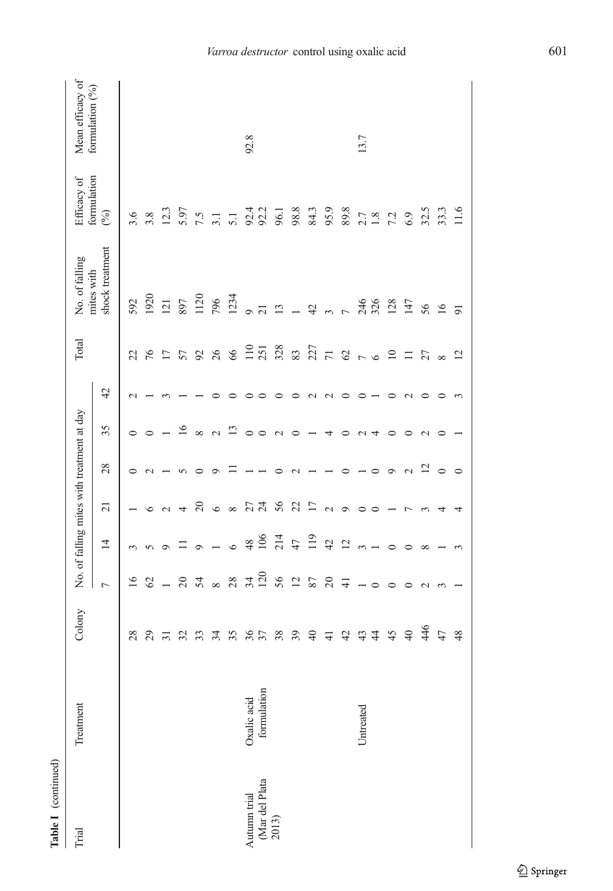| Table I (continued)                     |             |                 |                 |                                            |                 |                |                 |               |                   |                               |                              |                   |
|-----------------------------------------|-------------|-----------------|-----------------|--------------------------------------------|-----------------|----------------|-----------------|---------------|-------------------|-------------------------------|------------------------------|-------------------|
| Trial                                   | Treatment   | Colony          |                 | No. of falling mites with treatment at day |                 |                |                 |               | Total             | No. of falling                | Efficacy of                  | Mean efficacy of  |
|                                         |             |                 | $\overline{ }$  | $\overline{4}$                             | $\overline{21}$ | 28             | 35              | 42            |                   | shock treatment<br>mites with | formulation<br>$\mathcal{E}$ | formulation $(%)$ |
|                                         |             | 28              | $\overline{16}$ | $\epsilon$                                 |                 |                | $\circ$         | $\sim$        | 22                | 592                           | 3.6                          |                   |
|                                         |             | 29              | ${\cal C}$      | 5                                          | $\circ$         | $\sim$         | $\circ$         |               | 76                | 1920                          | $3.8\,$                      |                   |
|                                         |             | $\overline{31}$ | $\overline{a}$  | $\circ$                                    | $\mathbf{\sim}$ |                |                 |               | $\overline{17}$   | 121                           | 12.3                         |                   |
|                                         |             | 32              | $\overline{c}$  | Ξ                                          | 4               | 5              | 16              |               | 57                | 897                           | 5.97                         |                   |
|                                         |             | 33              | 54              | $\circ$                                    | 20              | $\circ$        | $\infty$        |               | $\mathcal{S}$     | 1120                          | 7.5                          |                   |
|                                         |             | 34              | $\infty$        |                                            | $\circ$         | $\circ$        | $\sim$          |               | 26                | 796                           | 3.1                          |                   |
|                                         |             | 35              | 28              | $\circ$                                    | ${}^{\infty}$   |                | $\Xi$           |               | 66                | 1234                          | 5.1                          |                   |
|                                         | Oxalic acid |                 |                 | 48                                         |                 |                | $\circ$         |               |                   | $\circ$                       |                              | 92.8              |
| Autumn trial<br>(Mar del Plata<br>2013) | formulation | 36              | $34 \\ 120$     | 106                                        | 27              |                | $\circ$         | ○             | $\frac{110}{251}$ | 21                            | 92.4<br>92.2                 |                   |
|                                         |             | 38              | 56              | 214                                        | 56              |                | $\mathbf{\sim}$ | ⊂             | 328               | $\mathbf{13}$                 | 96.1                         |                   |
|                                         |             | 39              | $\overline{2}$  | 47                                         | 22              |                | $\circ$         | $\circ$       | 83                |                               | 98.8                         |                   |
|                                         |             | $\overline{4}$  | 87              | 119                                        | $\overline{17}$ |                |                 | $\mathcal{L}$ | 227               | 42                            | 84.3                         |                   |
|                                         |             | $\frac{1}{4}$   | $\overline{c}$  | 42                                         | $\sim$          |                | 4               | $\mathbf{C}$  | $\overline{71}$   |                               | 95.9                         |                   |
|                                         |             | 42              | $\pm$           | $\overline{c}$                             | $\circ$         |                | 0               | $\circ$       | $\mathcal{O}$     |                               | 89.8                         |                   |
|                                         | Untreated   | 43              |                 |                                            | $\circ$         |                | $\mathcal{L}$   | $\circ$       | $\sim$ 0          | 246                           |                              | 13.7              |
|                                         |             | $\ddot{4}$      |                 |                                            | $\circ$         |                | 4               |               |                   | 326                           | $2.7$<br>$1.8$               |                   |
|                                         |             | 45              |                 | $\circ$                                    |                 | $\sigma$       | $\circ$         | ᅌ             | $\overline{10}$   | 128                           | 7.2                          |                   |
|                                         |             | $\overline{40}$ |                 |                                            | r               | $\sim$         | $\circ$         | $\mathbf{C}$  | $\Box$            | 147                           | 6.9                          |                   |
|                                         |             | 446             | $\mathbf 2$     | ${}^{\circ}$                               | $\sim$          | $\overline{5}$ | $\mathbf{C}$    | ○             | 27                | 56                            | 32.5                         |                   |
|                                         |             | 47              | $\sim$          |                                            | 4               | $\circ$        | $\circ$         | $\circ$       | $\infty$          | 16                            | 33.3                         |                   |
|                                         |             | 48              |                 |                                            |                 | $\circ$        |                 |               | $\overline{c}$    | $\overline{9}$                | 11.6                         |                   |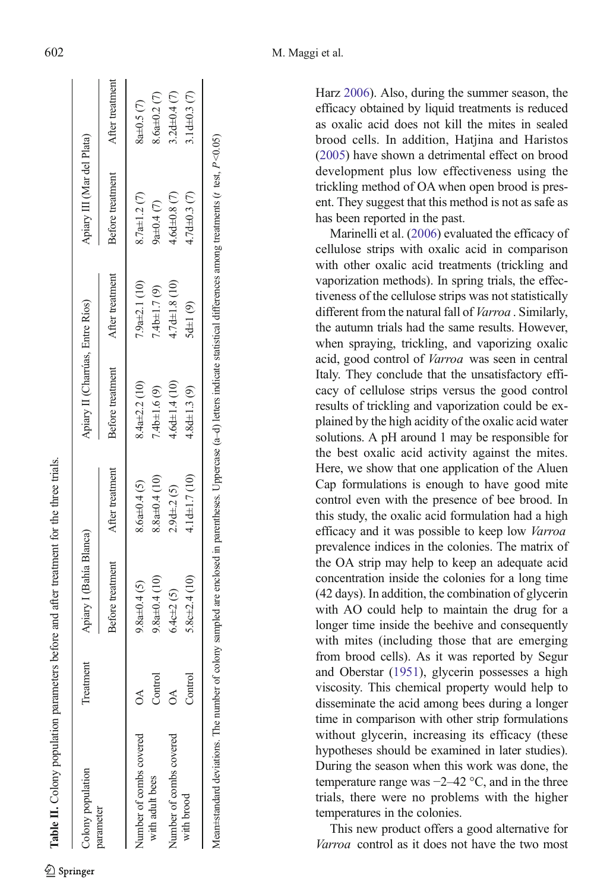<span id="page-6-0"></span>

| Colony population       | Freatment                   | Apiary I (Bahía Blanca) |                    | Apiary II (Charrúas, Entre Ríos) |                     | Apiary III (Mar del Plata) |                  |
|-------------------------|-----------------------------|-------------------------|--------------------|----------------------------------|---------------------|----------------------------|------------------|
| parameter               |                             | Before treatment        | After treatment    | Before treatment                 | After treatment     | Before treatment           | After treatment  |
| Number of combs covered | న                           | $9.8a \pm 0.4$ (5)      | $8.6a \pm 0.4(5)$  | $3.4a \pm 2.2$ (10)              | $.9a\pm2.1(10)$     | $8.7a \pm 1.2(7)$          | $8a \pm 0.5$ (7) |
| with adult bees         | Control                     | $9.8a \pm 0.4(10)$      | $8.8a \pm 0.4(10)$ | $7.4b \pm 1.6(9)$                | 4b±1.7 (9)          | $2a+0.4(7)$                | $8.6a + 0.2(7)$  |
| Jumber of combs covered | $\mathfrak{S}$              | $6.4c \pm 2(5)$         | $2.9d \pm 2(5)$    | $4.6d \pm 1.4(10)$               | $4.7d \pm 1.8$ (10) | $4.6d \pm 0.8$ (7)         | $3.2d + 0.4(7)$  |
| with brood              | $\mathop{\mathrm{Control}}$ | $0.86 + 2.4(10)$        | 4.1d±1.7(10)       | $4.8d \pm 1.3(9)$                | $(d+1)$ $(9)$       | 4.7d±0.3 (7)               | $1d\pm0.3$ (7)   |
|                         |                             |                         |                    |                                  |                     |                            |                  |

Mean±standard deviations. The number of colony sampled are enclosed in parentheses. Uppercase (a–d) letters indicate statistical differences among treatments (t test, P <0.05)

Mean±standard deviations. The number of colony sampled are enclosed in parentheses. Uppercase (a-d) letters indicate statistical differences among treatments (t test,  $P \le 0.05$ )

Harz [2006](#page-8-0)). Also, during the summer season, the efficacy obtained by liquid treatments is reduced as oxalic acid does not kill the mites in sealed brood cells. In addition, Hatjina and Haristos [\(2005\)](#page-8-0) have shown a detrimental effect on brood development plus low effectiveness using the trickling method of OA when open brood is present. They suggest that this method is not as safe as has been reported in the past.

Marinelli et al. [\(2006\)](#page-8-0) evaluated the efficacy of cellulose strips with oxalic acid in comparison with other oxalic acid treatments (trickling and vaporization methods). In spring trials, the effectiveness of the cellulose strips was not statistically different from the natural fall of *Varroa* . Similarly, the autumn trials had the same results. However, when spraying, trickling, and vaporizing oxalic acid, good control of Varroa was seen in central Italy. They conclude that the unsatisfactory efficacy of cellulose strips versus the good control results of trickling and vaporization could be explained by the high acidity of the oxalic acid water solutions. A pH around 1 may be responsible for the best oxalic acid activity against the mites. Here, we show that one application of the Aluen Cap formulations is enough to have good mite control even with the presence of bee brood. In this study, the oxalic acid formulation had a high efficacy and it was possible to keep low Varroa prevalence indices in the colonies. The matrix of the OA strip may help to keep an adequate acid concentration inside the colonies for a long time (42 days). In addition, the combination of glycerin with AO could help to maintain the drug for a longer time inside the beehive and consequently with mites (including those that are emerging from brood cells). As it was reported by Segur and Oberstar [\(1951\)](#page-9-0), glycerin possesses a high viscosity. This chemical property would help to disseminate the acid among bees during a longer time in comparison with other strip formulations without glycerin, increasing its efficacy (these hypotheses should be examined in later studies). During the season when this work was done, the temperature range was  $-2-42$  °C, and in the three trials, there were no problems with the higher temperatures in the colonies.

This new product offers a good alternative for Varroa control as it does not have the two most

Table II.

Colony population parameters before and after treatment for the three trials.

Table II. Colony population parameters before and after treatment for the three trials.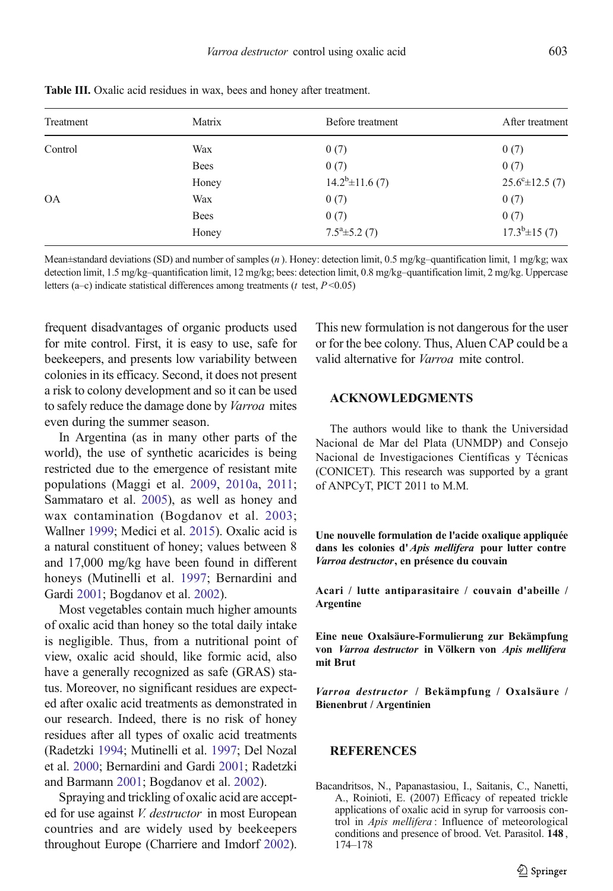| Treatment | Matrix      | Before treatment      | After treatment             |
|-----------|-------------|-----------------------|-----------------------------|
| Control   | Wax         | 0(7)                  | 0(7)                        |
|           | <b>Bees</b> | 0(7)                  | 0(7)                        |
|           | Honey       | $14.2^b \pm 11.6$ (7) | $25.6^{\circ} \pm 12.5$ (7) |
| <b>OA</b> | Wax         | 0(7)                  | 0(7)                        |
|           | <b>Bees</b> | 0(7)                  | 0(7)                        |
|           | Honey       | $7.5^a \pm 5.2$ (7)   | $17.3^b \pm 15(7)$          |

<span id="page-7-0"></span>Table III. Oxalic acid residues in wax, bees and honey after treatment.

Mean±standard deviations (SD) and number of samples (n ). Honey: detection limit, 0.5 mg/kg–quantification limit, 1 mg/kg; wax detection limit, 1.5 mg/kg–quantification limit, 12 mg/kg; bees: detection limit, 0.8 mg/kg–quantification limit, 2 mg/kg. Uppercase letters (a–c) indicate statistical differences among treatments ( $t$  test,  $P \le 0.05$ )

frequent disadvantages of organic products used for mite control. First, it is easy to use, safe for beekeepers, and presents low variability between colonies in its efficacy. Second, it does not present a risk to colony development and so it can be used to safely reduce the damage done by Varroa mites even during the summer season.

In Argentina (as in many other parts of the world), the use of synthetic acaricides is being restricted due to the emergence of resistant mite populations (Maggi et al. [2009](#page-8-0), [2010a](#page-8-0), [2011](#page-8-0); Sammataro et al. [2005\)](#page-9-0), as well as honey and wax contamination (Bogdanov et al. [2003](#page-8-0); Wallner [1999;](#page-9-0) Medici et al. [2015](#page-8-0)). Oxalic acid is a natural constituent of honey; values between 8 and 17,000 mg/kg have been found in different honeys (Mutinelli et al. [1997;](#page-8-0) Bernardini and Gardi [2001](#page-8-0); Bogdanov et al. [2002\)](#page-8-0).

Most vegetables contain much higher amounts of oxalic acid than honey so the total daily intake is negligible. Thus, from a nutritional point of view, oxalic acid should, like formic acid, also have a generally recognized as safe (GRAS) status. Moreover, no significant residues are expected after oxalic acid treatments as demonstrated in our research. Indeed, there is no risk of honey residues after all types of oxalic acid treatments (Radetzki [1994](#page-8-0); Mutinelli et al. [1997;](#page-8-0) Del Nozal et al. [2000;](#page-8-0) Bernardini and Gardi [2001;](#page-8-0) Radetzki and Barmann [2001;](#page-8-0) Bogdanov et al. [2002](#page-8-0)).

Spraying and trickling of oxalic acid are accepted for use against *V. destructor* in most European countries and are widely used by beekeepers throughout Europe (Charriere and Imdorf [2002](#page-8-0)). This new formulation is not dangerous for the user or for the bee colony. Thus, Aluen CAP could be a valid alternative for Varroa mite control.

### ACKNOWLEDGMENTS

The authors would like to thank the Universidad Nacional de Mar del Plata (UNMDP) and Consejo Nacional de Investigaciones Científicas y Técnicas (CONICET). This research was supported by a grant of ANPCyT, PICT 2011 to M.M.

Une nouvelle formulation de l'acide oxalique appliquée dans les colonies d'Apis mellifera pour lutter contre Varroa destructor, en présence du couvain

Acari / lutte antiparasitaire / couvain d'abeille / Argentine

Eine neue Oxalsäure-Formulierung zur Bekämpfung von Varroa destructor in Völkern von Apis mellifera mit Brut

Varroa destructor / Bekämpfung / Oxalsäure / Bienenbrut / Argentinien

## REFERENCES

Bacandritsos, N., Papanastasiou, I., Saitanis, C., Nanetti, A., Roinioti, E. (2007) Efficacy of repeated trickle applications of oxalic acid in syrup for varroosis control in Apis mellifera : Influence of meteorological conditions and presence of brood. Vet. Parasitol. 148 , 174–178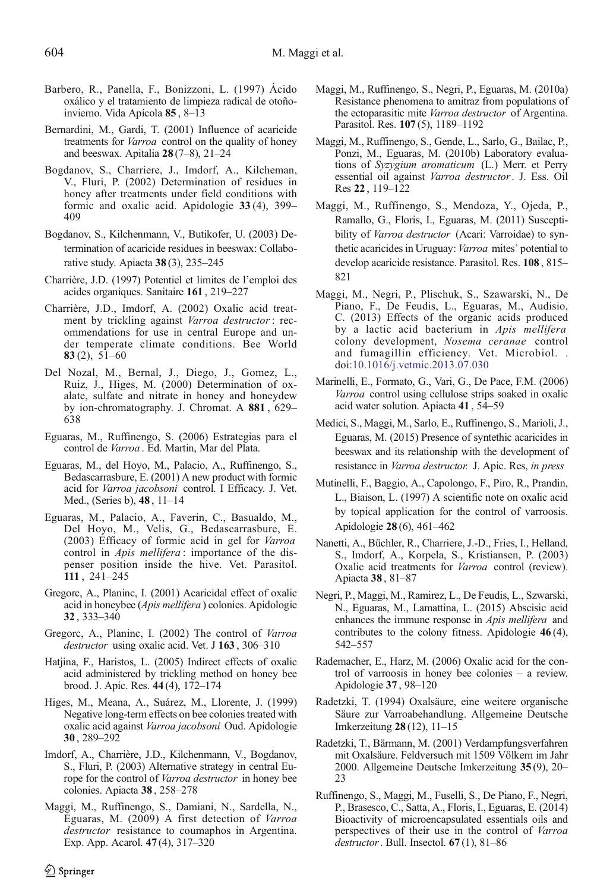- <span id="page-8-0"></span>Barbero, R., Panella, F., Bonizzoni, L. (1997) Ácido oxálico y el tratamiento de limpieza radical de otoñoinvierno. Vida Apícola 85 , 8–13
- Bernardini, M., Gardi, T. (2001) Influence of acaricide treatments for Varroa control on the quality of honey and beeswax. Apitalia 28 (7–8), 21–24
- Bogdanov, S., Charriere, J., Imdorf, A., Kilcheman, V., Fluri, P. (2002) Determination of residues in honey after treatments under field conditions with formic and oxalic acid. Apidologie 33 (4), 399– 409
- Bogdanov, S., Kilchenmann, V., Butikofer, U. (2003) Determination of acaricide residues in beeswax: Collaborative study. Apiacta 38 (3), 235–245
- Charrière, J.D. (1997) Potentiel et limites de l'emploi des acides organiques. Sanitaire 161 , 219–227
- Charrière, J.D., Imdorf, A. (2002) Oxalic acid treatment by trickling against Varroa destructor: recommendations for use in central Europe and under temperate climate conditions. Bee World 83 $(2)$ , 51–60
- Del Nozal, M., Bernal, J., Diego, J., Gomez, L., Ruiz, J., Higes, M. (2000) Determination of oxalate, sulfate and nitrate in honey and honeydew by ion-chromatography. J. Chromat. A 881 , 629– 638
- Eguaras, M., Ruffinengo, S. (2006) Estrategias para el control de Varroa . Ed. Martin, Mar del Plata.
- Eguaras, M., del Hoyo, M., Palacio, A., Ruffinengo, S., Bedascarrasbure, E. (2001) A new product with formic acid for Varroa jacobsoni control. I Efficacy. J. Vet. Med., (Series b), 48 , 11–14
- Eguaras, M., Palacio, A., Faverin, C., Basualdo, M., Del Hoyo, M., Velis, G., Bedascarrasbure, E. (2003) Efficacy of formic acid in gel for Varroa control in *Apis mellifera* : importance of the dispenser position inside the hive. Vet. Parasitol. 111 , 241–245
- Gregorc, A., Planinc, I. (2001) Acaricidal effect of oxalic acid in honeybee (Apis mellifera ) colonies. Apidologie 32 , 333–340
- Gregorc, A., Planinc, I. (2002) The control of Varroa destructor using oxalic acid. Vet. J 163, 306-310
- Hatjina, F., Haristos, L. (2005) Indirect effects of oxalic acid administered by trickling method on honey bee brood. J. Apic. Res. 44 (4), 172–174
- Higes, M., Meana, A., Suárez, M., Llorente, J. (1999) Negative long-term effects on bee colonies treated with oxalic acid against Varroa jacobsoni Oud. Apidologie 30 , 289–292
- Imdorf, A., Charrière, J.D., Kilchenmann, V., Bogdanov, S., Fluri, P. (2003) Alternative strategy in central Europe for the control of Varroa destructor in honey bee colonies. Apiacta 38 , 258–278
- Maggi, M., Ruffinengo, S., Damiani, N., Sardella, N., Eguaras, M. (2009) A first detection of Varroa destructor resistance to coumaphos in Argentina. Exp. App. Acarol. 47 (4), 317–320
- Maggi, M., Ruffinengo, S., Negri, P., Eguaras, M. (2010a) Resistance phenomena to amitraz from populations of the ectoparasitic mite Varroa destructor of Argentina. Parasitol. Res. 107 (5), 1189–1192
- Maggi, M., Ruffinengo, S., Gende, L., Sarlo, G., Bailac, P., Ponzi, M., Eguaras, M. (2010b) Laboratory evaluations of Syzygium aromaticum (L.) Merr. et Perry essential oil against Varroa destructor. J. Ess. Oil Res 22 , 119–122
- Maggi, M., Ruffinengo, S., Mendoza, Y., Ojeda, P., Ramallo, G., Floris, I., Eguaras, M. (2011) Susceptibility of Varroa destructor (Acari: Varroidae) to synthetic acaricides in Uruguay: Varroa mites' potential to develop acaricide resistance. Parasitol. Res. 108 , 815– 821
- Maggi, M., Negri, P., Plischuk, S., Szawarski, N., De Piano, F., De Feudis, L., Eguaras, M., Audisio, C. (2013) Effects of the organic acids produced by a lactic acid bacterium in Apis mellifera colony development, Nosema ceranae control and fumagillin efficiency. Vet. Microbiol. . doi[:10.1016/j.vetmic.2013.07.030](http://dx.doi.org/10.1016/j.vetmic.2013.07.030)
- Marinelli, E., Formato, G., Vari, G., De Pace, F.M. (2006) Varroa control using cellulose strips soaked in oxalic acid water solution. Apiacta 41 , 54–59
- Medici, S., Maggi, M., Sarlo, E., Ruffinengo, S., Marioli, J., Eguaras, M. (2015) Presence of syntethic acaricides in beeswax and its relationship with the development of resistance in Varroa destructor. J. Apic. Res, in press
- Mutinelli, F., Baggio, A., Capolongo, F., Piro, R., Prandin, L., Biaison, L. (1997) A scientific note on oxalic acid by topical application for the control of varroosis. Apidologie 28 (6), 461–462
- Nanetti, A., Büchler, R., Charriere, J.-D., Fries, I., Helland, S., Imdorf, A., Korpela, S., Kristiansen, P. (2003) Oxalic acid treatments for Varroa control (review). Apiacta 38 , 81–87
- Negri, P., Maggi, M., Ramirez, L., De Feudis, L., Szwarski, N., Eguaras, M., Lamattina, L. (2015) Abscisic acid enhances the immune response in Apis mellifera and contributes to the colony fitness. Apidologie 46 (4), 542–557
- Rademacher, E., Harz, M. (2006) Oxalic acid for the control of varroosis in honey bee colonies – a review. Apidologie 37 , 98–120
- Radetzki, T. (1994) Oxalsäure, eine weitere organische Säure zur Varroabehandlung. Allgemeine Deutsche Imkerzeitung 28 (12), 11–15
- Radetzki, T., Bärmann, M. (2001) Verdampfungsverfahren mit Oxalsäure. Feldversuch mit 1509 Völkern im Jahr 2000. Allgemeine Deutsche Imkerzeitung 35 (9), 20– 23
- Ruffinengo, S., Maggi, M., Fuselli, S., De Piano, F., Negri, P., Brasesco, C., Satta, A., Floris, I., Eguaras, E. (2014) Bioactivity of microencapsulated essentials oils and perspectives of their use in the control of Varroa destructor. Bull. Insectol.  $67(1)$ ,  $81-86$